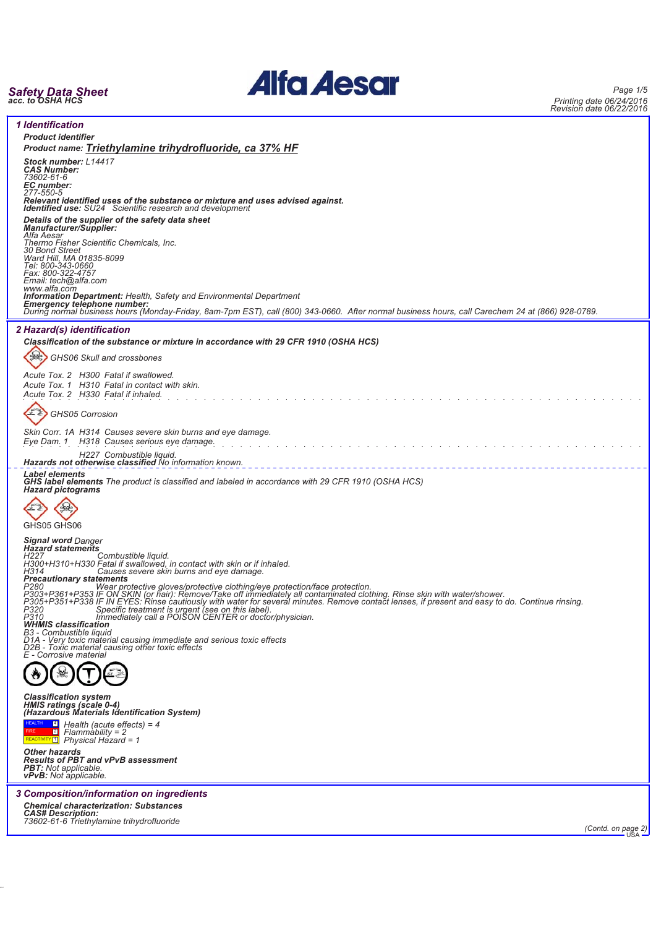# *Safety Data Sheet acc. to OSHA HCS*

38.0.35



*Page 1/5 Printing date 06/24/2016 Revision date 06/22/2016*

| <b>1 Identification</b>                                                                                                                                                                                                                 |
|-----------------------------------------------------------------------------------------------------------------------------------------------------------------------------------------------------------------------------------------|
| <b>Product identifier</b>                                                                                                                                                                                                               |
| Product name: Triethylamine trihydrofluoride, ca 37% HF                                                                                                                                                                                 |
| Stock number: L14417                                                                                                                                                                                                                    |
| <b>CAS Number:</b>                                                                                                                                                                                                                      |
| 73602-61-6                                                                                                                                                                                                                              |
| EC number:<br>277-550-5                                                                                                                                                                                                                 |
| Relevant identified uses of the substance or mixture and uses advised against.                                                                                                                                                          |
| <b>Identified use:</b> SU24 Scientific research and development                                                                                                                                                                         |
| Details of the supplier of the safety data sheet                                                                                                                                                                                        |
| <b>Manufacturer/Supplier:</b>                                                                                                                                                                                                           |
| Alfa Aesar<br>Thermo Fisher Scientific Chemicals, Inc.                                                                                                                                                                                  |
| 30 Bond Street                                                                                                                                                                                                                          |
| Ward Hill, MA 01835-8099<br>Tel: 800-343-0660                                                                                                                                                                                           |
|                                                                                                                                                                                                                                         |
| Fax: 800-322-4757<br>Email: tech@alfa.com                                                                                                                                                                                               |
| www.alfa.com                                                                                                                                                                                                                            |
| <b>Information Department:</b> Health, Safety and Environmental Department                                                                                                                                                              |
| Emergency telephone number:<br>During normal business hours (Monday-Friday, 8am-7pm EST), call (800) 343-0660. After normal business hours, call Carechem 24 at (866) 928-0789.                                                         |
|                                                                                                                                                                                                                                         |
| 2 Hazard(s) identification                                                                                                                                                                                                              |
| Classification of the substance or mixture in accordance with 29 CFR 1910 (OSHA HCS)                                                                                                                                                    |
|                                                                                                                                                                                                                                         |
| GHS06 Skull and crossbones                                                                                                                                                                                                              |
|                                                                                                                                                                                                                                         |
| Acute Tox. 2 H300 Fatal if swallowed.                                                                                                                                                                                                   |
| Acute Tox. 1 H310 Fatal in contact with skin.                                                                                                                                                                                           |
| Acute Tox. 2 H330 Fatal if inhaled.                                                                                                                                                                                                     |
|                                                                                                                                                                                                                                         |
| GHS05 Corrosion                                                                                                                                                                                                                         |
|                                                                                                                                                                                                                                         |
| Skin Corr. 1A H314 Causes severe skin burns and eye damage.                                                                                                                                                                             |
| Eye Dam. 1 H318 Causes serious eye damage.                                                                                                                                                                                              |
| H227 Combustible liquid.                                                                                                                                                                                                                |
| Hazards not otherwise classified No information known.                                                                                                                                                                                  |
| <b>Label elements</b>                                                                                                                                                                                                                   |
| <b>GHS label elements</b> The product is classified and labeled in accordance with 29 CFR 1910 (OSHA HCS)<br><b>Hazard pictograms</b>                                                                                                   |
|                                                                                                                                                                                                                                         |
|                                                                                                                                                                                                                                         |
|                                                                                                                                                                                                                                         |
| GHS05 GHS06                                                                                                                                                                                                                             |
|                                                                                                                                                                                                                                         |
| <b>Signal word Danger</b><br><b>Hazard statements</b>                                                                                                                                                                                   |
| H227<br>Combustible liquid.                                                                                                                                                                                                             |
| H300+H310+H330 Fatal if swallowed, in contact with skin or if inhaled.<br>H314 Causes severe skin burns and eye damage.                                                                                                                 |
| <b>Precautionary statements</b>                                                                                                                                                                                                         |
|                                                                                                                                                                                                                                         |
| P280<br>P280<br>P303+P361+P353 IF ON SKIN (or hair): Remove/Take off immediately all contaminated clothing. Rinse skin with water/shower.<br>P305+P351+P338 IF ON SKIN (or hair): Remove/Take off immediately all contaminated clothing |
|                                                                                                                                                                                                                                         |
| P320<br>Specific treatment is urgent (see on this label).<br>P310<br>Immediately call a POISON CENTER or doctor/physician.                                                                                                              |
| <b>WHMIS classification</b>                                                                                                                                                                                                             |
| B3 - Combustible liquid                                                                                                                                                                                                                 |
| D1A - Very toxic material causing immediate and serious toxic effects<br>D2B - Toxic material causing other toxic effects                                                                                                               |
| E - Corrosive material                                                                                                                                                                                                                  |
|                                                                                                                                                                                                                                         |
|                                                                                                                                                                                                                                         |
|                                                                                                                                                                                                                                         |
| <b>Classification system</b>                                                                                                                                                                                                            |
| HMIS ratings (scale 0-4)                                                                                                                                                                                                                |
| (Hazardous Materials Identification System)                                                                                                                                                                                             |
| $\frac{1}{2}$ Health (acute effects) = 4                                                                                                                                                                                                |
| $\boxed{2}$<br>$Flammablity = 2$                                                                                                                                                                                                        |
| $R_{\text{EACTIVITY}1}$ Physical Hazard = 1                                                                                                                                                                                             |
| Other hazards                                                                                                                                                                                                                           |
| <b>Results of PBT and vPvB assessment</b><br><b>PBT:</b> Not applicable.                                                                                                                                                                |
| <b>vPvB:</b> Not applicable.                                                                                                                                                                                                            |
|                                                                                                                                                                                                                                         |
| 3 Composition/information on ingredients                                                                                                                                                                                                |
| <b>Chemical characterization: Substances</b>                                                                                                                                                                                            |
| <b>CAS# Description:</b>                                                                                                                                                                                                                |
| 73602-61-6 Triethylamine trihydrofluoride<br>(Contd. on page 2)                                                                                                                                                                         |
|                                                                                                                                                                                                                                         |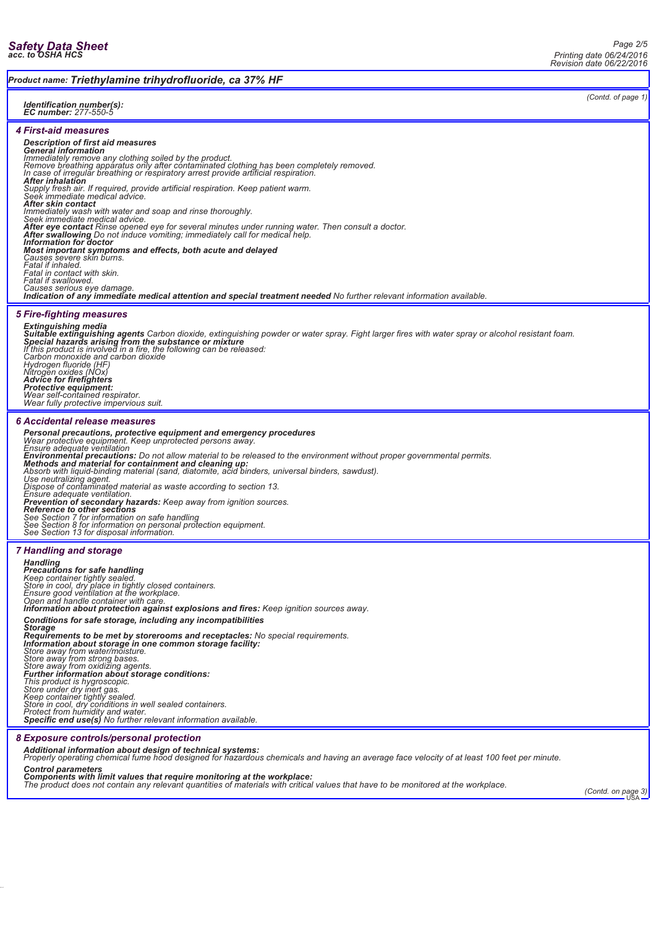### *Product name: Triethylamine trihydrofluoride, ca 37% HF*

#### *Identification number(s): EC number: 277-550-5*

*4 First-aid measures*

### *Description of first aid measures*

**General information**<br>Immediately remove any clothing soiled by the product.<br>Remove breathing apparatus only after contaminated clothing has been completely removed.<br>In case of irregular breathing or respiratory arrest pro

*After inhalation Supply fresh air. If required, provide artificial respiration. Keep patient warm. Seek immediate medical advice.*

*After skin contact*

*Immediately wash with water and soap and rinse thoroughly. Seek immediate medical advice.*

After swallowing Do not induce vomiting; immediately call for medical help.<br>Information for doctor

### *Most important symptoms and effects, both acute and delayed*

Causes severe skin burns.<br>Fatal if inhaled.<br>Fatal in contact with skin.<br>Fatal if swallowed.<br>Causes serious eye damage.

*Indication of any immediate medical attention and special treatment needed No further relevant information available.*

### *5 Fire-fighting measures*

## *Extinguishing media* **Suitable extinguishing agents** Carbon dioxide, extinguishing powder or water spray. Fight larger fires with water spray or alcohol resistant foam.<br>**Special hazards arising from the substance or mixture**<br>If this product is

*Carbon monoxide and carbon dioxide Hydrogen fluoride (HF) Nitrogen oxides (NOx) Advice for firefighters Protective equipment: Wear self-contained respirator. Wear fully protective impervious suit.*

### *6 Accidental release measures*

**Personal precautions, protective equipment and emergency procedures**<br>Wear protective equipment. Keep unprotected persons away.<br>Ensure adequate ventilation<br>Environmental precautions: Do not allow material to be released to

Ensure adequate ventilation.<br>**Prevention of secondary hazards:** Keep away from ignition sources.<br>Reference to other sections<br>See Section 7 for information on safe handling<br>See Section 8 for information on personal protecti

### *7 Handling and storage*

*Handling*

**Precautions for safe handling**<br>Keep container tightly sealed.<br>Store in cool, dry place in tightly closed containers.<br>Ensure good ventilation at the workplace.<br>Open and handle container with care.<br>I**nformation about protec** *Conditions for safe storage, including any incompatibilities Storage Requirements to be met by storerooms and receptacles: No special requirements. Information about storage in one common storage facility: Store away from water/moisture. Store away from strong bases. Store away from oxidizing agents. Further information about storage conditions: This product is hygroscopic. Store under dry inert gas. Keep container tightly sealed. Store in cool, dry conditions in well sealed containers. Protect from humidity and water. Specific end use(s) No further relevant information available.*

### *8 Exposure controls/personal protection*

*Additional information about design of technical systems: Properly operating chemical fume hood designed for hazardous chemicals and having an average face velocity of at least 100 feet per minute.*

*Control parameters*

Components with limit values that require monitoring at the workplace:<br>The product does not contain any relevant quantities of materials with critical values that have to be monitored at the workplace.<br>USA USA

*(Contd. of page 1)*

*Page 2/5*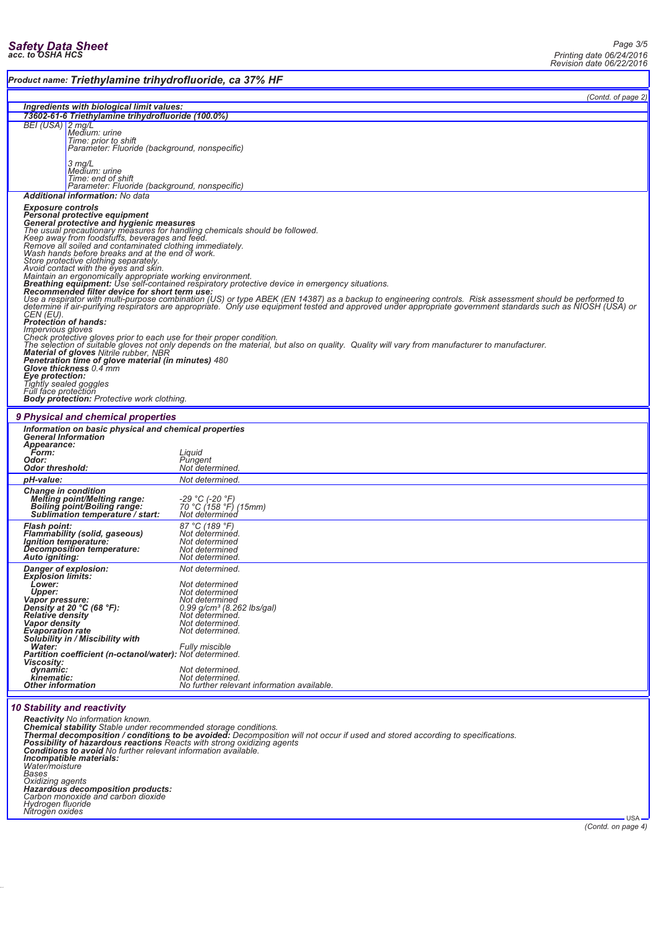| Product name: Triethylamine trihydrofluoride, ca 37% HF                                                                                                                                                                                                                                                                                                                                                                                                                                                                                                                                                                                                                                                                                                                                                                                                                                                                                                                                                                                                                                                                                                                                                                                                                                                                                                                                                                                                                                                                                                          |                                                                                                                                                                                            |  |
|------------------------------------------------------------------------------------------------------------------------------------------------------------------------------------------------------------------------------------------------------------------------------------------------------------------------------------------------------------------------------------------------------------------------------------------------------------------------------------------------------------------------------------------------------------------------------------------------------------------------------------------------------------------------------------------------------------------------------------------------------------------------------------------------------------------------------------------------------------------------------------------------------------------------------------------------------------------------------------------------------------------------------------------------------------------------------------------------------------------------------------------------------------------------------------------------------------------------------------------------------------------------------------------------------------------------------------------------------------------------------------------------------------------------------------------------------------------------------------------------------------------------------------------------------------------|--------------------------------------------------------------------------------------------------------------------------------------------------------------------------------------------|--|
|                                                                                                                                                                                                                                                                                                                                                                                                                                                                                                                                                                                                                                                                                                                                                                                                                                                                                                                                                                                                                                                                                                                                                                                                                                                                                                                                                                                                                                                                                                                                                                  | (Contd. of page 2)                                                                                                                                                                         |  |
| Ingredients with biological limit values:                                                                                                                                                                                                                                                                                                                                                                                                                                                                                                                                                                                                                                                                                                                                                                                                                                                                                                                                                                                                                                                                                                                                                                                                                                                                                                                                                                                                                                                                                                                        |                                                                                                                                                                                            |  |
| 73602-61-6 Triethylamine trihydrofluoride (100.0%)<br>BEI (USA) 2 mg/L<br>Medium: urine<br>Time: prior to shift<br>Parameter: Fluoride (background, nonspecific)<br>3 mg/L<br>Medium: urine<br>Time: end of shift                                                                                                                                                                                                                                                                                                                                                                                                                                                                                                                                                                                                                                                                                                                                                                                                                                                                                                                                                                                                                                                                                                                                                                                                                                                                                                                                                |                                                                                                                                                                                            |  |
| Parameter: Fluoride (background, nonspecific)<br><b>Additional information: No data</b>                                                                                                                                                                                                                                                                                                                                                                                                                                                                                                                                                                                                                                                                                                                                                                                                                                                                                                                                                                                                                                                                                                                                                                                                                                                                                                                                                                                                                                                                          |                                                                                                                                                                                            |  |
| <b>Exposure controls</b><br>Personal protective equipment<br>General protective and hygienic measures<br>The usual precautionary measures for handling chemicals should be followed.<br>Keep away from foodstuffs, beverages and feed.<br>Remove all soiled and contaminated clothing immediately.<br>Wash hands before breaks and at the end of work.<br>Store protective clothing separately.<br>Avoid contact with the eyes and skin.<br>Maintain an ergonomically appropriate working environment.<br><b>Breathing equipment:</b> Use self-contained respiratory protective device in emergency situations.<br>Recommended filter device for short term use:<br>Use a respirator with multi-purpose combination (US) or type ABEK (EN 14387) as a backup to engineering controls. Risk assessment should be performed to<br>determine if air-purifying respirators are appropriate. Only use equipment tested and approved under appropriate government standards such as NIOSH (USA) or<br>CEN (EU).<br><b>Protection of hands:</b><br><i><b>Impervious gloves</b></i><br>Check protective gloves prior to each use for their proper condition.<br>The selection of suitable gloves not only depends on the material, but also on quality. Quality will vary from manufacturer to manufacturer.<br><b>Material of gloves Nitrile rubber, NBR</b><br>Penetration time of glove material (in minutes) 480<br>Glove thickness 0.4 mm<br>Eye protection:<br>Tightly sealed goggles<br>Full face protection<br><b>Body protection:</b> Protective work clothing. |                                                                                                                                                                                            |  |
|                                                                                                                                                                                                                                                                                                                                                                                                                                                                                                                                                                                                                                                                                                                                                                                                                                                                                                                                                                                                                                                                                                                                                                                                                                                                                                                                                                                                                                                                                                                                                                  |                                                                                                                                                                                            |  |
| 9 Physical and chemical properties<br>Information on basic physical and chemical properties<br><b>General Information</b><br>Appearance:                                                                                                                                                                                                                                                                                                                                                                                                                                                                                                                                                                                                                                                                                                                                                                                                                                                                                                                                                                                                                                                                                                                                                                                                                                                                                                                                                                                                                         |                                                                                                                                                                                            |  |
| Form:<br>Odor:<br>Odor threshold:                                                                                                                                                                                                                                                                                                                                                                                                                                                                                                                                                                                                                                                                                                                                                                                                                                                                                                                                                                                                                                                                                                                                                                                                                                                                                                                                                                                                                                                                                                                                | Liquid<br>Pungent<br>Not determined.                                                                                                                                                       |  |
| pH-value:                                                                                                                                                                                                                                                                                                                                                                                                                                                                                                                                                                                                                                                                                                                                                                                                                                                                                                                                                                                                                                                                                                                                                                                                                                                                                                                                                                                                                                                                                                                                                        | Not determined.                                                                                                                                                                            |  |
| <b>Change in condition</b><br><b>Melting point/Melting range:</b><br><b>Boiling point/Boiling range:</b><br>Sublimation temperature / start:                                                                                                                                                                                                                                                                                                                                                                                                                                                                                                                                                                                                                                                                                                                                                                                                                                                                                                                                                                                                                                                                                                                                                                                                                                                                                                                                                                                                                     | -29 °C (-20 °F)<br>70 °C (158 °F) (15mm)<br>Not determined                                                                                                                                 |  |
| <b>Flash point:</b><br><b>Flammability (solid, gaseous)</b><br>Ignition temperature:<br>Decomposition temperature:<br>Auto igniting:                                                                                                                                                                                                                                                                                                                                                                                                                                                                                                                                                                                                                                                                                                                                                                                                                                                                                                                                                                                                                                                                                                                                                                                                                                                                                                                                                                                                                             | 87 °C (189 °F)<br>Not determined.<br>Not determined<br>Not determined<br>Not determined.                                                                                                   |  |
| Danger of explosion:<br><b>Explosion limits:</b><br>Lower:<br><b>Upper:</b><br>Vapor pressure:<br>Density at 20 °C (68 °F):<br>Relative density<br>Vapor density<br><b>Evaporation</b> rate<br>Solubility in / Miscibility with<br><b>Water:</b><br>Partition coefficient (n-octanol/water): Not determined.<br><b>Viscosity:</b>                                                                                                                                                                                                                                                                                                                                                                                                                                                                                                                                                                                                                                                                                                                                                                                                                                                                                                                                                                                                                                                                                                                                                                                                                                | Not determined.<br>Not determined<br>Not determined<br>Not determined<br>0.99 g/cm <sup>3</sup> (8.262 lbs/gal)<br>Not determined.<br>Not determined.<br>Not determined.<br>Fully miscible |  |
| dynamic:<br>kinematic:<br><b>Other information</b>                                                                                                                                                                                                                                                                                                                                                                                                                                                                                                                                                                                                                                                                                                                                                                                                                                                                                                                                                                                                                                                                                                                                                                                                                                                                                                                                                                                                                                                                                                               | Not determined.<br>Not determined.<br>No further relevant information available.                                                                                                           |  |
| <b>10 Stability and reactivity</b><br><b>Reactivity</b> No information known.<br>Chemical stability Stable under recommended storage conditions.<br><b>Possibility of hazardous reactions</b> Reacts with strong oxidizing agents<br><b>Conditions to avoid</b> No further relevant information available.<br>Incompatible materials:<br>Water/moisture<br>Bases<br>Oxidizing agents<br>Hazardous decomposition products:<br>Carbon monoxide and carbon dioxide<br>Hydrogen fluoride<br>Nitrogen oxides                                                                                                                                                                                                                                                                                                                                                                                                                                                                                                                                                                                                                                                                                                                                                                                                                                                                                                                                                                                                                                                          | Thermal decomposition / conditions to be avoided: Decomposition will not occur if used and stored according to specifications.<br><b>HSA</b>                                               |  |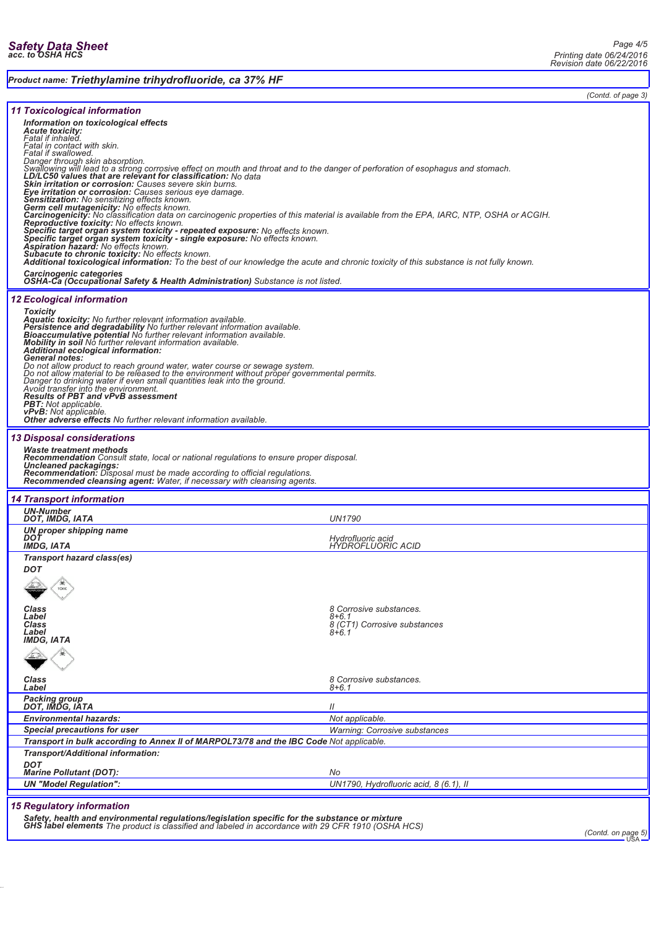### *Product name: Triethylamine trihydrofluoride, ca 37% HF*

*(Contd. of page 3)*

| <b>11 Toxicological information</b>                                                                                                                                                                         |                                                |  |
|-------------------------------------------------------------------------------------------------------------------------------------------------------------------------------------------------------------|------------------------------------------------|--|
| Information on toxicological effects                                                                                                                                                                        |                                                |  |
| <b>Acute toxicity:</b>                                                                                                                                                                                      |                                                |  |
| Fatal if inhaled.<br>Fatal in contact with skin.                                                                                                                                                            |                                                |  |
| Fatal if swallowed.<br>Danger through skin absorption.                                                                                                                                                      |                                                |  |
| Swallowing will lead to a strong corrosive effect on mouth and throat and to the danger of perforation of esophagus and stomach.                                                                            |                                                |  |
| LD/LC50 values that are relevant for classification: No data<br><b>Skin irritation or corrosion:</b> Causes severe skin burns.                                                                              |                                                |  |
| Eye irritation or corrosion: Causes serious eye damage.                                                                                                                                                     |                                                |  |
| Sensitization: No sensitizing effects known.<br>Germ cell mutagenicity: No effects known.                                                                                                                   |                                                |  |
| Carcinogenicity: No classification data on carcinogenic properties of this material is available from the EPA, IARC, NTP, OSHA or ACGIH.                                                                    |                                                |  |
| <b>Reproductive foxicity:</b> No effects known.<br>Specific target organ system toxicity - repeated exposure: No effects known.                                                                             |                                                |  |
| Specific target organ system toxicity - single exposure: No effects known.                                                                                                                                  |                                                |  |
| Aspiration hazard: No effects known.<br>Subacute to chronic toxicity: No effects known.                                                                                                                     |                                                |  |
| Additional toxicological information: To the best of our knowledge the acute and chronic toxicity of this substance is not fully known.                                                                     |                                                |  |
| Carcinogenic categories<br><b>OSHA-Ca (Occupational Safety &amp; Health Administration)</b> Substance is not listed.                                                                                        |                                                |  |
| <b>12 Ecological information</b>                                                                                                                                                                            |                                                |  |
| <b>Toxicity</b>                                                                                                                                                                                             |                                                |  |
| <b>Aquatic toxicity:</b> No further relevant information available.                                                                                                                                         |                                                |  |
| Persistence and degradability No further relevant information available.<br><b>Bioaccumulative potential No further relevant information available.</b>                                                     |                                                |  |
| <b>Mobility in soil</b> No further relevant information available.                                                                                                                                          |                                                |  |
| Additional ecological information:<br>General notes:                                                                                                                                                        |                                                |  |
| Do not allow product to reach ground water, water course or sewage system.<br>Do not allow material to be released to the environment without proper governmental permits.                                  |                                                |  |
| Danger to drinking water if even small quantities leak into the ground.                                                                                                                                     |                                                |  |
| Avoid transfer into the environment.<br><b>Results of PBT and vPvB assessment</b>                                                                                                                           |                                                |  |
| <b>PBT:</b> Not applicable.                                                                                                                                                                                 |                                                |  |
| vPvB: Not applicable.<br>Other adverse effects No further relevant information available.                                                                                                                   |                                                |  |
| <b>13 Disposal considerations</b>                                                                                                                                                                           |                                                |  |
| Waste treatment methods                                                                                                                                                                                     |                                                |  |
| <b>Recommendation</b> Consult state, local or national regulations to ensure proper disposal.                                                                                                               |                                                |  |
| Uncleaned packagings:<br>Recommendation: Disposal must be made according to official regulations.                                                                                                           |                                                |  |
| Recommended cleansing agent: Water, if necessary with cleansing agents.                                                                                                                                     |                                                |  |
| <b>14 Transport information</b>                                                                                                                                                                             |                                                |  |
| <b>UN-Number</b><br>DOT, IMDG, IATA                                                                                                                                                                         | <b>UN1790</b>                                  |  |
| <b>UN proper shipping name</b><br>DOT                                                                                                                                                                       |                                                |  |
| <b>IMDG, IATA</b>                                                                                                                                                                                           | <i>Hydrofluoric acid<br/>HYDROFLUORIC ACID</i> |  |
| Transport hazard class(es)                                                                                                                                                                                  |                                                |  |
| <b>DOT</b>                                                                                                                                                                                                  |                                                |  |
| TOXIC                                                                                                                                                                                                       |                                                |  |
| $\vee$                                                                                                                                                                                                      |                                                |  |
| Class                                                                                                                                                                                                       | 8 Corrosive substances.                        |  |
| Label<br><b>Class</b>                                                                                                                                                                                       | 8+6.1<br>8 (CT1) Corrosive substances          |  |
| Label<br><b>IMDG, IATA</b>                                                                                                                                                                                  | $8 + 6.1$                                      |  |
|                                                                                                                                                                                                             |                                                |  |
|                                                                                                                                                                                                             |                                                |  |
| Class                                                                                                                                                                                                       | 8 Corrosive substances.                        |  |
| Label                                                                                                                                                                                                       | 8+6.1                                          |  |
| Packing group<br>DOT, IMDG, IATA                                                                                                                                                                            | $\mathcal{U}$                                  |  |
| <b>Environmental hazards:</b>                                                                                                                                                                               | Not applicable.                                |  |
| <b>Special precautions for user</b>                                                                                                                                                                         | <b>Warning: Corrosive substances</b>           |  |
| Transport in bulk according to Annex II of MARPOL73/78 and the IBC Code Not applicable.                                                                                                                     |                                                |  |
| Transport/Additional information:                                                                                                                                                                           |                                                |  |
| <b>DOT</b><br><b>Marine Pollutant (DOT):</b>                                                                                                                                                                | No                                             |  |
| <b>UN "Model Regulation":</b>                                                                                                                                                                               | UN1790, Hydrofluoric acid, 8 (6.1), II         |  |
|                                                                                                                                                                                                             |                                                |  |
| <b>15 Regulatory information</b>                                                                                                                                                                            |                                                |  |
| Safety, health and environmental regulations/legislation specific for the substance or mixture<br><b>GHS label elements</b> The product is classified and labeled in accordance with 29 CFR 1910 (OSHA HCS) |                                                |  |
| (Contd. on page 5)                                                                                                                                                                                          |                                                |  |
|                                                                                                                                                                                                             |                                                |  |